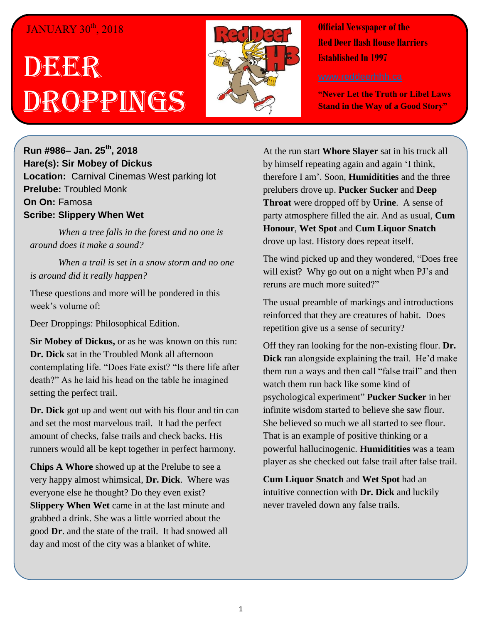## JANUARY 30<sup>th</sup>, 2018

## DEERR Droppings



**Official Newspaper of the Red Deer Hash House Harriers Established In 1997** 

**"Never Let the Truth or Libel Laws Stand in the Way of a Good Story"**

**Run #986– Jan. 25th, 2018 Hare(s): Sir Mobey of Dickus Location:** Carnival Cinemas West parking lot **Prelube:** Troubled Monk **On On:** Famosa **Scribe: Slippery When Wet**

*When a tree falls in the forest and no one is around does it make a sound?*

*When a trail is set in a snow storm and no one is around did it really happen?*

These questions and more will be pondered in this week's volume of:

Deer Droppings: Philosophical Edition.

**Sir Mobey of Dickus,** or as he was known on this run: **Dr. Dick** sat in the Troubled Monk all afternoon contemplating life. "Does Fate exist? "Is there life after death?" As he laid his head on the table he imagined setting the perfect trail.

**Dr. Dick** got up and went out with his flour and tin can and set the most marvelous trail. It had the perfect amount of checks, false trails and check backs. His runners would all be kept together in perfect harmony.

**Chips A Whore** showed up at the Prelube to see a very happy almost whimsical, **Dr. Dick**. Where was everyone else he thought? Do they even exist? **Slippery When Wet** came in at the last minute and grabbed a drink. She was a little worried about the good **Dr**. and the state of the trail. It had snowed all day and most of the city was a blanket of white.

At the run start **Whore Slayer** sat in his truck all by himself repeating again and again 'I think, therefore I am'. Soon, **Humiditities** and the three prelubers drove up. **Pucker Sucker** and **Deep Throat** were dropped off by **Urine**. A sense of party atmosphere filled the air. And as usual, **Cum Honour**, **Wet Spot** and **Cum Liquor Snatch** drove up last. History does repeat itself.

The wind picked up and they wondered, "Does free will exist? Why go out on a night when PJ's and reruns are much more suited?"

The usual preamble of markings and introductions reinforced that they are creatures of habit. Does repetition give us a sense of security?

Off they ran looking for the non-existing flour. **Dr. Dick** ran alongside explaining the trail. He'd make them run a ways and then call "false trail" and then watch them run back like some kind of psychological experiment" **Pucker Sucker** in her infinite wisdom started to believe she saw flour. She believed so much we all started to see flour. That is an example of positive thinking or a powerful hallucinogenic. **Humiditities** was a team player as she checked out false trail after false trail.

**Cum Liquor Snatch** and **Wet Spot** had an intuitive connection with **Dr. Dick** and luckily never traveled down any false trails.